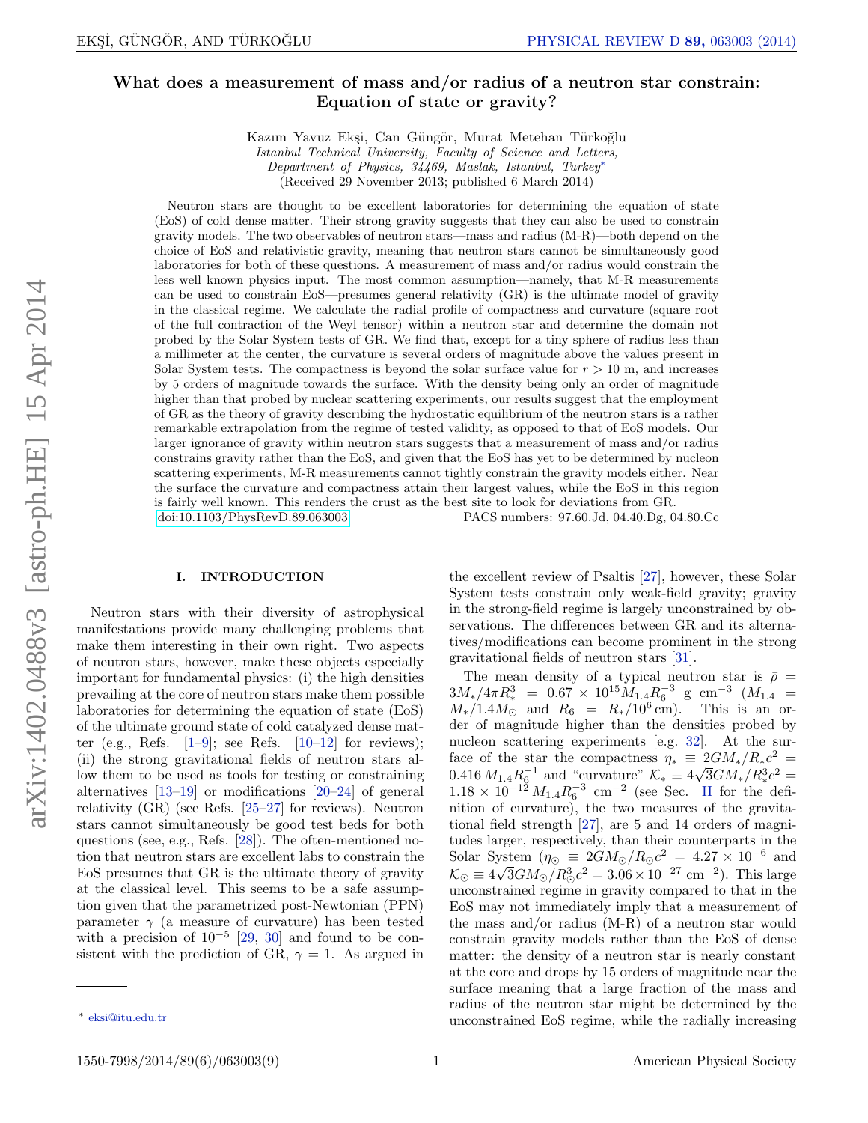# What does a measurement of mass and/or radius of a neutron star constrain: Equation of state or gravity?

Kazım Yavuz Ekşi, Can Güngör, Murat Metehan Türkoğlu

Istanbul Technical University, Faculty of Science and Letters, Department of Physics, 34469, Maslak, Istanbul, Turkey[∗](#page-0-0)

(Received 29 November 2013; published 6 March 2014)

Neutron stars are thought to be excellent laboratories for determining the equation of state (EoS) of cold dense matter. Their strong gravity suggests that they can also be used to constrain gravity models. The two observables of neutron stars—mass and radius (M-R)—both depend on the choice of EoS and relativistic gravity, meaning that neutron stars cannot be simultaneously good laboratories for both of these questions. A measurement of mass and/or radius would constrain the less well known physics input. The most common assumption—namely, that M-R measurements can be used to constrain EoS—presumes general relativity (GR) is the ultimate model of gravity in the classical regime. We calculate the radial profile of compactness and curvature (square root of the full contraction of the Weyl tensor) within a neutron star and determine the domain not probed by the Solar System tests of GR. We find that, except for a tiny sphere of radius less than a millimeter at the center, the curvature is several orders of magnitude above the values present in Solar System tests. The compactness is beyond the solar surface value for  $r > 10$  m, and increases by 5 orders of magnitude towards the surface. With the density being only an order of magnitude higher than that probed by nuclear scattering experiments, our results suggest that the employment of GR as the theory of gravity describing the hydrostatic equilibrium of the neutron stars is a rather remarkable extrapolation from the regime of tested validity, as opposed to that of EoS models. Our larger ignorance of gravity within neutron stars suggests that a measurement of mass and/or radius constrains gravity rather than the EoS, and given that the EoS has yet to be determined by nucleon scattering experiments, M-R measurements cannot tightly constrain the gravity models either. Near the surface the curvature and compactness attain their largest values, while the EoS in this region is fairly well known. This renders the crust as the best site to look for deviations from GR. [doi:10.1103/PhysRevD.89.063003](http://dx.doi.org/10.1103/PhysRevD.89.063003) PACS numbers: 97.60.Jd, 04.40.Dg, 04.80.Cc

# I. INTRODUCTION

Neutron stars with their diversity of astrophysical manifestations provide many challenging problems that make them interesting in their own right. Two aspects of neutron stars, however, make these objects especially important for fundamental physics: (i) the high densities prevailing at the core of neutron stars make them possible laboratories for determining the equation of state (EoS) of the ultimate ground state of cold catalyzed dense matter (e.g., Refs.  $[1-9]$  $[1-9]$ ; see Refs.  $[10-12]$  $[10-12]$  for reviews); (ii) the strong gravitational fields of neutron stars allow them to be used as tools for testing or constraining alternatives [\[13–](#page-4-4)[19\]](#page-4-5) or modifications [\[20–](#page-4-6)[24\]](#page-4-7) of general relativity (GR) (see Refs. [\[25–](#page-4-8)[27\]](#page-4-9) for reviews). Neutron stars cannot simultaneously be good test beds for both questions (see, e.g., Refs. [\[28\]](#page-4-10)). The often-mentioned notion that neutron stars are excellent labs to constrain the EoS presumes that GR is the ultimate theory of gravity at the classical level. This seems to be a safe assumption given that the parametrized post-Newtonian (PPN) parameter  $\gamma$  (a measure of curvature) has been tested with a precision of  $10^{-5}$  [\[29,](#page-4-11) [30\]](#page-4-12) and found to be consistent with the prediction of GR,  $\gamma = 1$ . As argued in

the excellent review of Psaltis [\[27\]](#page-4-9), however, these Solar System tests constrain only weak-field gravity; gravity in the strong-field regime is largely unconstrained by observations. The differences between GR and its alternatives/modifications can become prominent in the strong gravitational fields of neutron stars [\[31\]](#page-4-13).

The mean density of a typical neutron star is  $\bar{\rho}$  =  $3M_*/4\pi R_*^3$  =  $0.67\times10^{15} \tilde{M}_{1.4} R_6^{-3}$  g cm<sup>-3</sup>  $(M_{1.4}$  =  $M_*/1.4M_{\odot}$  and  $R_6 = R_*/10^6$  cm). This is an order of magnitude higher than the densities probed by nucleon scattering experiments [e.g. [32\]](#page-4-14). At the surface of the star the compactness  $\eta_* \equiv 2GM_*/R_*c^2 =$  $0.416 M_{1.4} R_{9}^{-1}$  and "curvature"  $\mathcal{K}_{*} \equiv 4$  $\sqrt{3}GM_{*}/R_{*}^{3}c^{2} = \sqrt{3}GM_{*}/R_{*}^{3}c^{2}$  $1.18 \times 10^{-12} M_{1.4} R_6^{-3}$  cm<sup>-2</sup> (see Sec. [II](#page-1-0) for the definition of curvature), the two measures of the gravitational field strength [\[27\]](#page-4-9), are 5 and 14 orders of magnitudes larger, respectively, than their counterparts in the Solar System  $(\eta_{\odot} \equiv 2GM_{\odot}/R_{\odot}c^2 = 4.27 \times 10^{-6}$  and  $\mathcal{K}_\odot \equiv 4$  $\sqrt{3}GM_{\odot}/R_{\odot}^{3}c^{2} = 3.06 \times 10^{-27} \text{ cm}^{-2}$ ). This large unconstrained regime in gravity compared to that in the EoS may not immediately imply that a measurement of the mass and/or radius (M-R) of a neutron star would constrain gravity models rather than the EoS of dense matter: the density of a neutron star is nearly constant at the core and drops by 15 orders of magnitude near the surface meaning that a large fraction of the mass and radius of the neutron star might be determined by the unconstrained EoS regime, while the radially increasing

<span id="page-0-0"></span><sup>∗</sup> [eksi@itu.edu.tr](mailto:eksi@itu.edu.tr)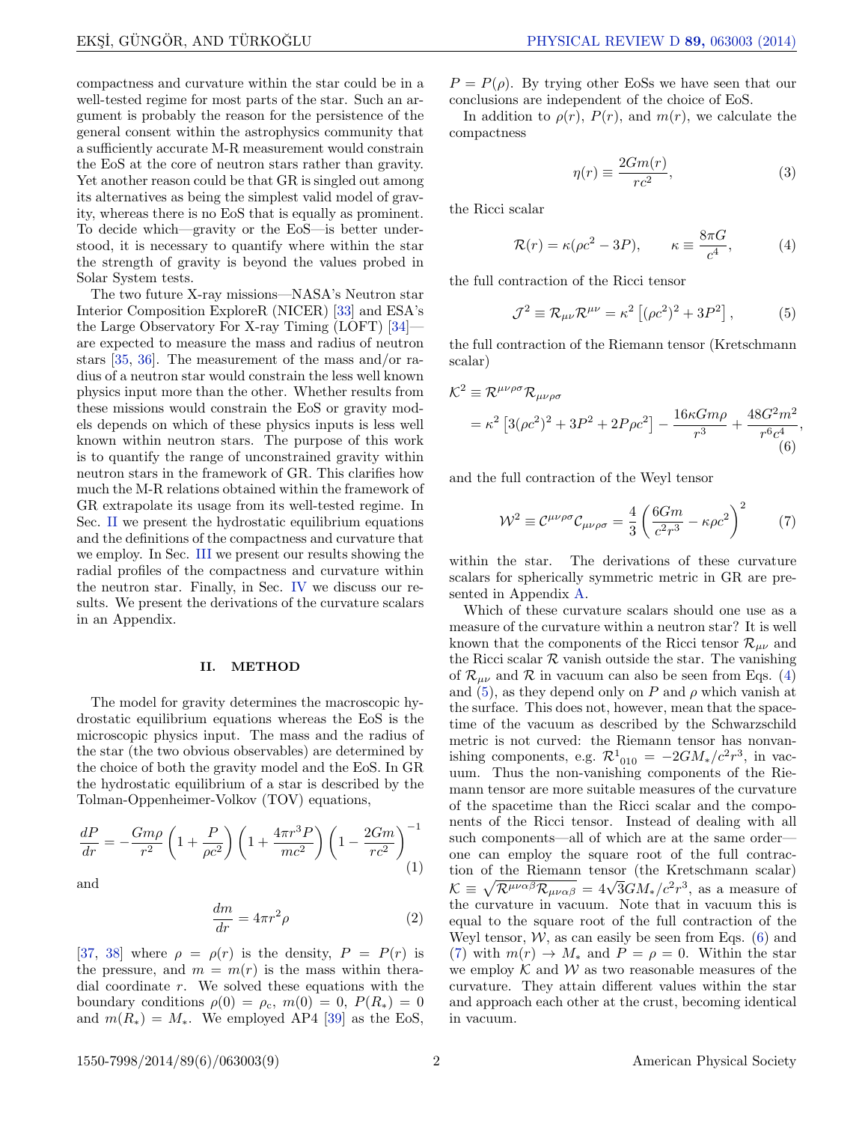compactness and curvature within the star could be in a well-tested regime for most parts of the star. Such an argument is probably the reason for the persistence of the general consent within the astrophysics community that a sufficiently accurate M-R measurement would constrain the EoS at the core of neutron stars rather than gravity. Yet another reason could be that GR is singled out among its alternatives as being the simplest valid model of gravity, whereas there is no EoS that is equally as prominent. To decide which—gravity or the EoS—is better understood, it is necessary to quantify where within the star the strength of gravity is beyond the values probed in Solar System tests.

The two future X-ray missions—NASA's Neutron star Interior Composition ExploreR (NICER) [\[33\]](#page-5-0) and ESA's the Large Observatory For X-ray Timing (LOFT) [\[34\]](#page-5-1) are expected to measure the mass and radius of neutron stars [\[35,](#page-5-2) [36\]](#page-5-3). The measurement of the mass and/or radius of a neutron star would constrain the less well known physics input more than the other. Whether results from these missions would constrain the EoS or gravity models depends on which of these physics inputs is less well known within neutron stars. The purpose of this work is to quantify the range of unconstrained gravity within neutron stars in the framework of GR. This clarifies how much the M-R relations obtained within the framework of GR extrapolate its usage from its well-tested regime. In Sec. [II](#page-1-0) we present the hydrostatic equilibrium equations and the definitions of the compactness and curvature that we employ. In Sec. [III](#page-2-0) we present our results showing the radial profiles of the compactness and curvature within the neutron star. Finally, in Sec. [IV](#page-2-1) we discuss our results. We present the derivations of the curvature scalars in an Appendix.

#### <span id="page-1-0"></span>II. METHOD

The model for gravity determines the macroscopic hydrostatic equilibrium equations whereas the EoS is the microscopic physics input. The mass and the radius of the star (the two obvious observables) are determined by the choice of both the gravity model and the EoS. In GR the hydrostatic equilibrium of a star is described by the Tolman-Oppenheimer-Volkov (TOV) equations,

<span id="page-1-6"></span>
$$
\frac{dP}{dr} = -\frac{Gm\rho}{r^2} \left( 1 + \frac{P}{\rho c^2} \right) \left( 1 + \frac{4\pi r^3 P}{mc^2} \right) \left( 1 - \frac{2Gm}{rc^2} \right)^{-1} \tag{1}
$$

and

<span id="page-1-5"></span>
$$
\frac{dm}{dr} = 4\pi r^2 \rho \tag{2}
$$

[\[37,](#page-5-4) [38\]](#page-5-5) where  $\rho = \rho(r)$  is the density,  $P = P(r)$  is the pressure, and  $m = m(r)$  is the mass within the radial coordinate  $r$ . We solved these equations with the boundary conditions  $\rho(0) = \rho_c$ ,  $m(0) = 0$ ,  $P(R_*) = 0$ and  $m(R_*) = M_*$ . We employed AP4 [\[39\]](#page-5-6) as the EoS,

 $P = P(\rho)$ . By trying other EoSs we have seen that our conclusions are independent of the choice of EoS.

In addition to  $\rho(r)$ ,  $P(r)$ , and  $m(r)$ , we calculate the compactness

$$
\eta(r) \equiv \frac{2Gm(r)}{rc^2},\tag{3}
$$

the Ricci scalar

<span id="page-1-1"></span>
$$
\mathcal{R}(r) = \kappa(\rho c^2 - 3P), \qquad \kappa \equiv \frac{8\pi G}{c^4}, \tag{4}
$$

the full contraction of the Ricci tensor

<span id="page-1-2"></span>
$$
\mathcal{J}^2 \equiv \mathcal{R}_{\mu\nu} \mathcal{R}^{\mu\nu} = \kappa^2 \left[ (\rho c^2)^2 + 3P^2 \right],\tag{5}
$$

the full contraction of the Riemann tensor (Kretschmann scalar)

$$
\mathcal{K}^2 \equiv \mathcal{R}^{\mu\nu\rho\sigma} \mathcal{R}_{\mu\nu\rho\sigma} \n= \kappa^2 \left[ 3(\rho c^2)^2 + 3P^2 + 2P\rho c^2 \right] - \frac{16\kappa G m \rho}{r^3} + \frac{48G^2 m^2}{r^6 c^4},
$$
\n(6)

and the full contraction of the Weyl tensor

<span id="page-1-4"></span><span id="page-1-3"></span>
$$
\mathcal{W}^2 \equiv \mathcal{C}^{\mu\nu\rho\sigma} \mathcal{C}_{\mu\nu\rho\sigma} = \frac{4}{3} \left( \frac{6Gm}{c^2 r^3} - \kappa \rho c^2 \right)^2 \tag{7}
$$

within the star. The derivations of these curvature scalars for spherically symmetric metric in GR are presented in Appendix [A.](#page-5-7)

Which of these curvature scalars should one use as a measure of the curvature within a neutron star? It is well known that the components of the Ricci tensor  $\mathcal{R}_{\mu\nu}$  and the Ricci scalar  $R$  vanish outside the star. The vanishing of  $\mathcal{R}_{\mu\nu}$  and  $\mathcal{R}$  in vacuum can also be seen from Eqs. [\(4\)](#page-1-1) and [\(5\)](#page-1-2), as they depend only on P and  $\rho$  which vanish at the surface. This does not, however, mean that the spacetime of the vacuum as described by the Schwarzschild metric is not curved: the Riemann tensor has nonvanishing components, e.g.  $\mathcal{R}^1_{010} = -2GM_*/c^2r^3$ , in vacuum. Thus the non-vanishing components of the Riemann tensor are more suitable measures of the curvature of the spacetime than the Ricci scalar and the components of the Ricci tensor. Instead of dealing with all such components—all of which are at the same order one can employ the square root of the full contraction of the Riemann tensor (the Kretschmann scalar) tion of the Riemann tensor (the Rietschmann scalar)<br>  $K = \sqrt{R^{\mu\nu\alpha\beta}R_{\mu\nu\alpha\beta}} = 4\sqrt{3}GM_*/c^2r^3$ , as a measure of the curvature in vacuum. Note that in vacuum this is equal to the square root of the full contraction of the Weyl tensor,  $W$ , as can easily be seen from Eqs. [\(6\)](#page-1-3) and [\(7\)](#page-1-4) with  $m(r) \to M_*$  and  $P = \rho = 0$ . Within the star we employ  $\mathcal K$  and  $\mathcal W$  as two reasonable measures of the curvature. They attain different values within the star and approach each other at the crust, becoming identical in vacuum.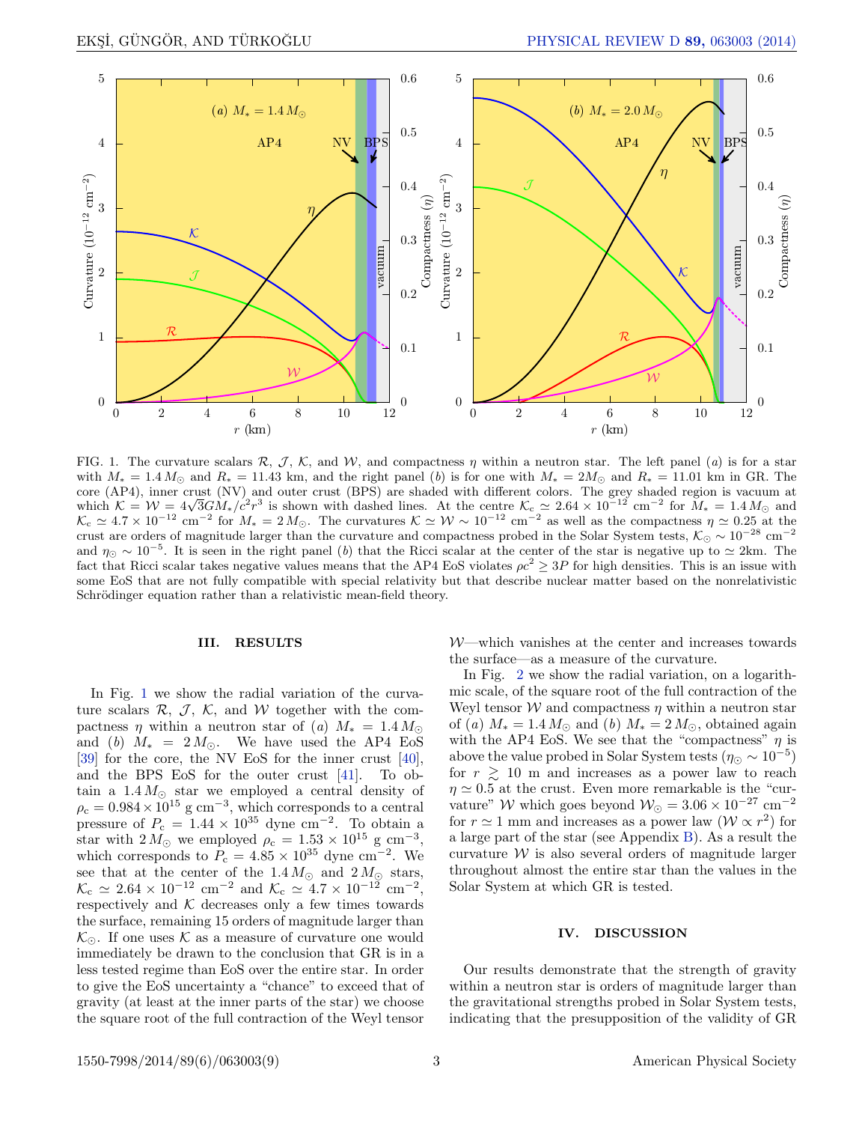

<span id="page-2-2"></span>FIG. 1. The curvature scalars R, J, K, and W, and compactness  $\eta$  within a neutron star. The left panel (a) is for a star with  $M_* = 1.4 M_{\odot}$  and  $R_* = 11.43$  km, and the right panel (b) is for one with  $M_* = 2M_{\odot}$  and  $R_* = 11.01$  km in GR. The core (AP4), inner crust (NV) and outer crust (BPS) are shaded with different colors. The grey shaded region is vacuum at core (AP4), inner crust (NV) and outer crust (BPS) are snaded with different colors. The grey snaded region is vacuum at which  $K = W = 4\sqrt{3}GM_*/c^2r^3$  is shown with dashed lines. At the centre  $K_c \simeq 2.64 \times 10^{-12}$  cm<sup>-2</sup>  $\mathcal{K}_c \simeq 4.7 \times 10^{-12}$  cm<sup>-2</sup> for  $M_* = 2 M_{\odot}$ . The curvatures  $\mathcal{K} \simeq \mathcal{W} \sim 10^{-12}$  cm<sup>-2</sup> as well as the compactness  $\eta \simeq 0.25$  at the crust are orders of magnitude larger than the curvature and compactness probed in the Solar System tests,  $\mathcal{K}_{\odot} \sim 10^{-28}$  cm<sup>-2</sup> and  $\eta_{\odot} \sim 10^{-5}$ . It is seen in the right panel (b) that the Ricci scalar at the center of the star is negative up to  $\simeq 2$ km. The fact that Ricci scalar takes negative values means that the AP4 EoS violates  $\rho c^2 \geq 3P$  for high densities. This is an issue with some EoS that are not fully compatible with special relativity but that describe nuclear matter based on the nonrelativistic Schrödinger equation rather than a relativistic mean-field theory.

## <span id="page-2-0"></span>III. RESULTS

In Fig. [1](#page-2-2) we show the radial variation of the curvature scalars  $\mathcal{R}, \mathcal{J}, \mathcal{K}, \mathcal{M}$  and W together with the compactness  $\eta$  within a neutron star of (a)  $M_* = 1.4 M_{\odot}$ and (b)  $M_* = 2 M_{\odot}$ . We have used the AP4 EoS [\[39\]](#page-5-6) for the core, the NV EoS for the inner crust [\[40\]](#page-5-8), and the BPS EoS for the outer crust [\[41\]](#page-5-9). To obtain a  $1.4 M_{\odot}$  star we employed a central density of  $\rho_c = 0.984 \times 10^{15}$  g cm<sup>-3</sup>, which corresponds to a central pressure of  $P_c = 1.44 \times 10^{35}$  dyne cm<sup>-2</sup>. To obtain a star with  $2 M_{\odot}$  we employed  $\rho_c = 1.53 \times 10^{15}$  g cm<sup>-3</sup>, which corresponds to  $P_c = 4.85 \times 10^{35}$  dyne cm<sup>-2</sup>. We see that at the center of the  $1.4 M_{\odot}$  and  $2 M_{\odot}$  stars,  $\mathcal{K}_{\rm c} \simeq 2.64 \times 10^{-12} \text{ cm}^{-2} \text{ and } \mathcal{K}_{\rm c} \simeq 4.7 \times 10^{-12} \text{ cm}^{-2},$ respectively and  $K$  decreases only a few times towards the surface, remaining 15 orders of magnitude larger than  $\mathcal{K}_{\odot}$ . If one uses K as a measure of curvature one would immediately be drawn to the conclusion that GR is in a less tested regime than EoS over the entire star. In order to give the EoS uncertainty a "chance" to exceed that of gravity (at least at the inner parts of the star) we choose the square root of the full contraction of the Weyl tensor

 $W$ —which vanishes at the center and increases towards the surface—as a measure of the curvature.

In Fig. [2](#page-3-0) we show the radial variation, on a logarithmic scale, of the square root of the full contraction of the Weyl tensor  $W$  and compactness  $\eta$  within a neutron star of (a)  $M_* = 1.4 M_{\odot}$  and (b)  $M_* = 2 M_{\odot}$ , obtained again with the AP4 EoS. We see that the "compactness"  $\eta$  is above the value probed in Solar System tests  $(\eta_{\odot} \sim 10^{-5})$ for  $r \geq 10$  m and increases as a power law to reach  $\eta \simeq 0.5$  at the crust. Even more remarkable is the "curvature" W which goes beyond  $\mathcal{W}_{\odot} = 3.06 \times 10^{-27}$  cm<sup>-2</sup> for  $r \simeq 1$  mm and increases as a power law  $(\mathcal{W} \propto r^2)$  for a large part of the star (see Appendix [B\)](#page-8-0). As a result the curvature  $W$  is also several orders of magnitude larger throughout almost the entire star than the values in the Solar System at which GR is tested.

# <span id="page-2-1"></span>IV. DISCUSSION

Our results demonstrate that the strength of gravity within a neutron star is orders of magnitude larger than the gravitational strengths probed in Solar System tests, indicating that the presupposition of the validity of GR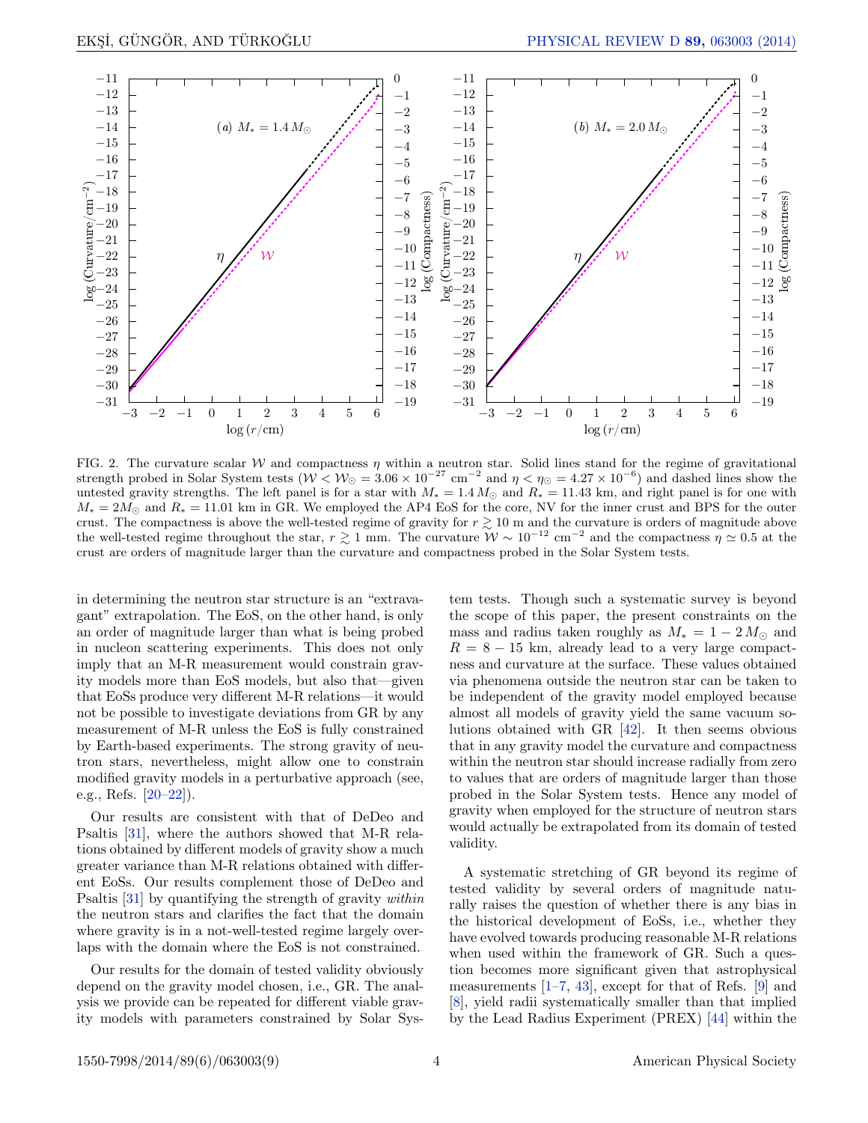

<span id="page-3-0"></span>FIG. 2. The curvature scalar W and compactness  $\eta$  within a neutron star. Solid lines stand for the regime of gravitational strength probed in Solar System tests ( $\mathcal{W} < \mathcal{W}_{\odot} = 3.06 \times 10^{-27}$  cm<sup>-2</sup> and  $\eta < \eta_{\odot} = 4.27 \times 10^{-6}$ ) and dashed lines show the untested gravity strengths. The left panel is for a star with  $M_* = 1.4 M_{\odot}$  and  $R_* = 11.43$  km, and right panel is for one with  $M_* = 2M_{\odot}$  and  $R_* = 11.01$  km in GR. We employed the AP4 EoS for the core, NV for the inner crust and BPS for the outer crust. The compactness is above the well-tested regime of gravity for  $r \gtrsim 10$  m and the curvature is orders of magnitude above the well-tested regime throughout the star,  $r \gtrsim 1$  mm. The curvature  $W \sim 10^{-12}$  cm<sup>-2</sup> and the compactness  $\eta \simeq 0.5$  at the crust are orders of magnitude larger than the curvature and compactness probed in the Solar System tests.

in determining the neutron star structure is an "extravagant" extrapolation. The EoS, on the other hand, is only an order of magnitude larger than what is being probed in nucleon scattering experiments. This does not only imply that an M-R measurement would constrain gravity models more than EoS models, but also that—given that EoSs produce very different M-R relations—it would not be possible to investigate deviations from GR by any measurement of M-R unless the EoS is fully constrained by Earth-based experiments. The strong gravity of neutron stars, nevertheless, might allow one to constrain modified gravity models in a perturbative approach (see, e.g., Refs. [\[20–](#page-4-6)[22\]](#page-4-15)).

Our results are consistent with that of DeDeo and Psaltis [\[31\]](#page-4-13), where the authors showed that M-R relations obtained by different models of gravity show a much greater variance than M-R relations obtained with different EoSs. Our results complement those of DeDeo and Psaltis [\[31\]](#page-4-13) by quantifying the strength of gravity within the neutron stars and clarifies the fact that the domain where gravity is in a not-well-tested regime largely overlaps with the domain where the EoS is not constrained.

Our results for the domain of tested validity obviously depend on the gravity model chosen, i.e., GR. The analysis we provide can be repeated for different viable gravity models with parameters constrained by Solar Sys-

tem tests. Though such a systematic survey is beyond the scope of this paper, the present constraints on the mass and radius taken roughly as  $M_* = 1 - 2 M_{\odot}$  and  $R = 8 - 15$  km, already lead to a very large compactness and curvature at the surface. These values obtained via phenomena outside the neutron star can be taken to be independent of the gravity model employed because almost all models of gravity yield the same vacuum solutions obtained with GR [\[42\]](#page-5-10). It then seems obvious that in any gravity model the curvature and compactness within the neutron star should increase radially from zero to values that are orders of magnitude larger than those probed in the Solar System tests. Hence any model of gravity when employed for the structure of neutron stars would actually be extrapolated from its domain of tested validity.

A systematic stretching of GR beyond its regime of tested validity by several orders of magnitude naturally raises the question of whether there is any bias in the historical development of EoSs, i.e., whether they have evolved towards producing reasonable M-R relations when used within the framework of GR. Such a question becomes more significant given that astrophysical measurements  $[1-7, 43]$  $[1-7, 43]$  $[1-7, 43]$  $[1-7, 43]$ , except for that of Refs.  $[9]$  and [\[8\]](#page-4-17), yield radii systematically smaller than that implied by the Lead Radius Experiment (PREX) [\[44\]](#page-5-12) within the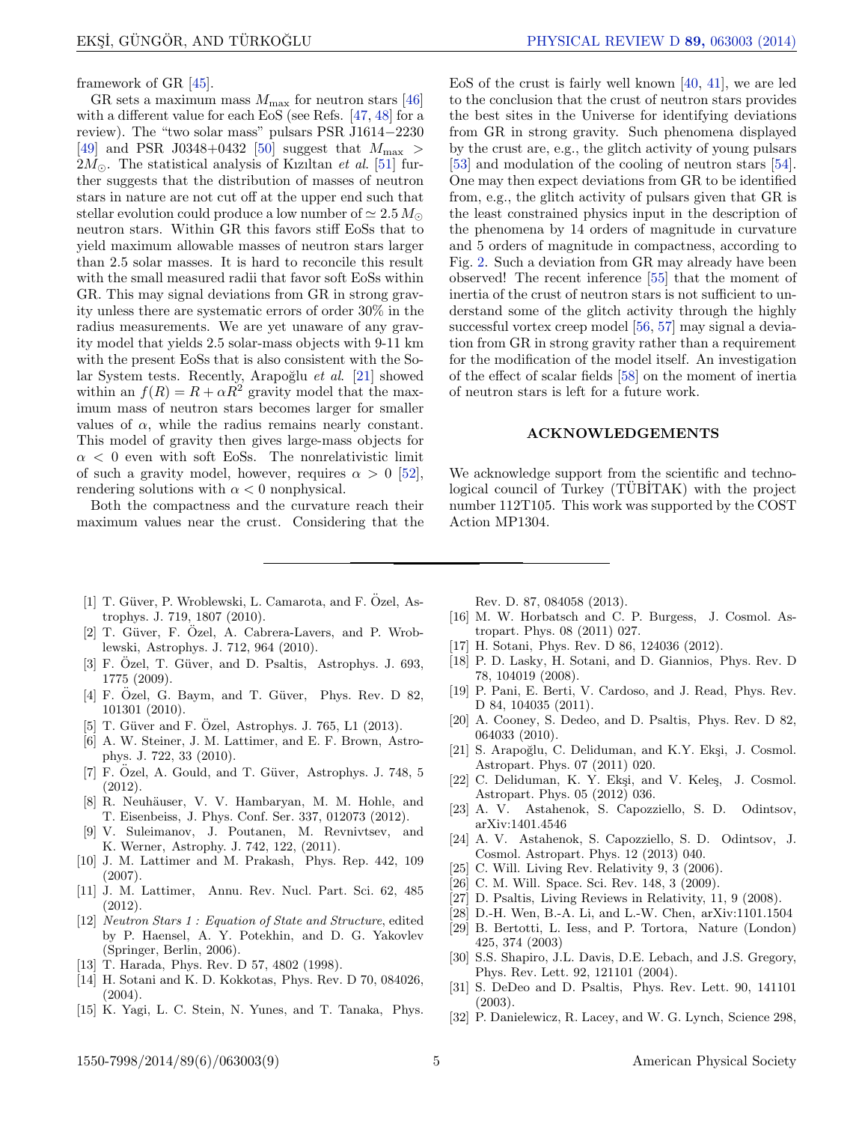# framework of GR [\[45\]](#page-5-13).

GR sets a maximum mass  $M_{\text{max}}$  for neutron stars [\[46\]](#page-5-14) with a different value for each EoS (see Refs. [\[47,](#page-5-15) [48\]](#page-5-16) for a review). The "two solar mass" pulsars PSR J1614−2230 [\[49\]](#page-5-17) and PSR J0348+0432 [\[50\]](#page-5-18) suggest that  $M_{\text{max}} >$  $2M_{\odot}$ . The statistical analysis of Kızıltan *et al.* [\[51\]](#page-5-19) further suggests that the distribution of masses of neutron stars in nature are not cut off at the upper end such that stellar evolution could produce a low number of  $\simeq 2.5 M_{\odot}$ neutron stars. Within GR this favors stiff EoSs that to yield maximum allowable masses of neutron stars larger than 2.5 solar masses. It is hard to reconcile this result with the small measured radii that favor soft EoSs within GR. This may signal deviations from GR in strong gravity unless there are systematic errors of order 30% in the radius measurements. We are yet unaware of any gravity model that yields 2.5 solar-mass objects with 9-11 km with the present EoSs that is also consistent with the Solar System tests. Recently, Arapoğlu et al.  $[21]$  showed within an  $f(R) = R + \alpha R^2$  gravity model that the maximum mass of neutron stars becomes larger for smaller values of  $\alpha$ , while the radius remains nearly constant. This model of gravity then gives large-mass objects for  $\alpha$  < 0 even with soft EoSs. The nonrelativistic limit of such a gravity model, however, requires  $\alpha > 0$  [\[52\]](#page-5-20), rendering solutions with  $\alpha < 0$  nonphysical.

Both the compactness and the curvature reach their maximum values near the crust. Considering that the EoS of the crust is fairly well known [\[40,](#page-5-8) [41\]](#page-5-9), we are led to the conclusion that the crust of neutron stars provides the best sites in the Universe for identifying deviations from GR in strong gravity. Such phenomena displayed by the crust are, e.g., the glitch activity of young pulsars [\[53\]](#page-5-21) and modulation of the cooling of neutron stars [\[54\]](#page-5-22). One may then expect deviations from GR to be identified from, e.g., the glitch activity of pulsars given that GR is the least constrained physics input in the description of the phenomena by 14 orders of magnitude in curvature and 5 orders of magnitude in compactness, according to Fig. [2.](#page-3-0) Such a deviation from GR may already have been observed! The recent inference [\[55\]](#page-5-23) that the moment of inertia of the crust of neutron stars is not sufficient to understand some of the glitch activity through the highly successful vortex creep model [\[56,](#page-5-24) [57\]](#page-5-25) may signal a deviation from GR in strong gravity rather than a requirement for the modification of the model itself. An investigation of the effect of scalar fields [\[58\]](#page-5-26) on the moment of inertia of neutron stars is left for a future work.

#### ACKNOWLEDGEMENTS

We acknowledge support from the scientific and technological council of Turkey (TUBITAK) with the project number 112T105. This work was supported by the COST Action MP1304.

- <span id="page-4-0"></span>[1] T. Güver, P. Wroblewski, L. Camarota, and F. Ozel, Astrophys. J. 719, 1807 (2010).
- [2] T. Güver, F. Özel, A. Cabrera-Lavers, and P. Wroblewski, Astrophys. J. 712, 964 (2010).
- [3] F. Özel, T. Güver, and D. Psaltis, Astrophys. J. 693, 1775 (2009).
- [4] F. Ozel, G. Baym, and T. Güver, Phys. Rev. D 82, 101301 (2010).
- [5] T. Güver and F. Özel, Astrophys. J. 765, L1  $(2013)$ .
- [6] A. W. Steiner, J. M. Lattimer, and E. F. Brown, Astrophys. J. 722, 33 (2010).
- <span id="page-4-16"></span>[7] F. Özel, A. Gould, and T. Güver, Astrophys. J. 748, 5 (2012).
- <span id="page-4-17"></span>[8] R. Neuhäuser, V. V. Hambaryan, M. M. Hohle, and T. Eisenbeiss, J. Phys. Conf. Ser. 337, 012073 (2012).
- <span id="page-4-1"></span>[9] V. Suleimanov, J. Poutanen, M. Revnivtsev, and K. Werner, Astrophy. J. 742, 122, (2011).
- <span id="page-4-2"></span>[10] J. M. Lattimer and M. Prakash, Phys. Rep. 442, 109 (2007).
- [11] J. M. Lattimer, Annu. Rev. Nucl. Part. Sci. 62, 485 (2012).
- <span id="page-4-3"></span>[12] Neutron Stars 1 : Equation of State and Structure, edited by P. Haensel, A. Y. Potekhin, and D. G. Yakovlev (Springer, Berlin, 2006).
- <span id="page-4-4"></span>[13] T. Harada, Phys. Rev. D 57, 4802 (1998).
- [14] H. Sotani and K. D. Kokkotas, Phys. Rev. D 70, 084026. (2004).
- [15] K. Yagi, L. C. Stein, N. Yunes, and T. Tanaka, Phys.

Rev. D. 87, 084058 (2013).

- [16] M. W. Horbatsch and C. P. Burgess, J. Cosmol. Astropart. Phys. 08 (2011) 027.
- [17] H. Sotani, Phys. Rev. D 86, 124036 (2012).
- [18] P. D. Lasky, H. Sotani, and D. Giannios, Phys. Rev. D 78, 104019 (2008).
- <span id="page-4-5"></span>[19] P. Pani, E. Berti, V. Cardoso, and J. Read, Phys. Rev. D 84, 104035 (2011).
- <span id="page-4-6"></span>[20] A. Cooney, S. Dedeo, and D. Psaltis, Phys. Rev. D 82, 064033 (2010).
- <span id="page-4-18"></span>[21] S. Arapoğlu, C. Deliduman, and K.Y. Ekşi, J. Cosmol. Astropart. Phys. 07 (2011) 020.
- <span id="page-4-15"></span>[22] C. Deliduman, K. Y. Ekşi, and V. Keleş, J. Cosmol. Astropart. Phys. 05 (2012) 036.
- [23] A. V. Astahenok, S. Capozziello, S. D. Odintsov, arXiv:1401.4546
- <span id="page-4-7"></span>[24] A. V. Astahenok, S. Capozziello, S. D. Odintsov, J. Cosmol. Astropart. Phys. 12 (2013) 040.
- <span id="page-4-8"></span>[25] C. Will. Living Rev. Relativity 9, 3 (2006).
- [26] C. M. Will. Space. Sci. Rev. 148, 3 (2009).
- <span id="page-4-9"></span>[27] D. Psaltis, Living Reviews in Relativity, 11, 9 (2008).
- <span id="page-4-10"></span>[28] D.-H. Wen, B.-A. Li, and L.-W. Chen, arXiv:1101.1504
- <span id="page-4-11"></span>[29] B. Bertotti, L. Iess, and P. Tortora, Nature (London) 425, 374 (2003)
- <span id="page-4-12"></span>[30] S.S. Shapiro, J.L. Davis, D.E. Lebach, and J.S. Gregory, Phys. Rev. Lett. 92, 121101 (2004).
- <span id="page-4-13"></span>[31] S. DeDeo and D. Psaltis, Phys. Rev. Lett. 90, 141101 (2003).
- <span id="page-4-14"></span>[32] P. Danielewicz, R. Lacey, and W. G. Lynch, Science 298,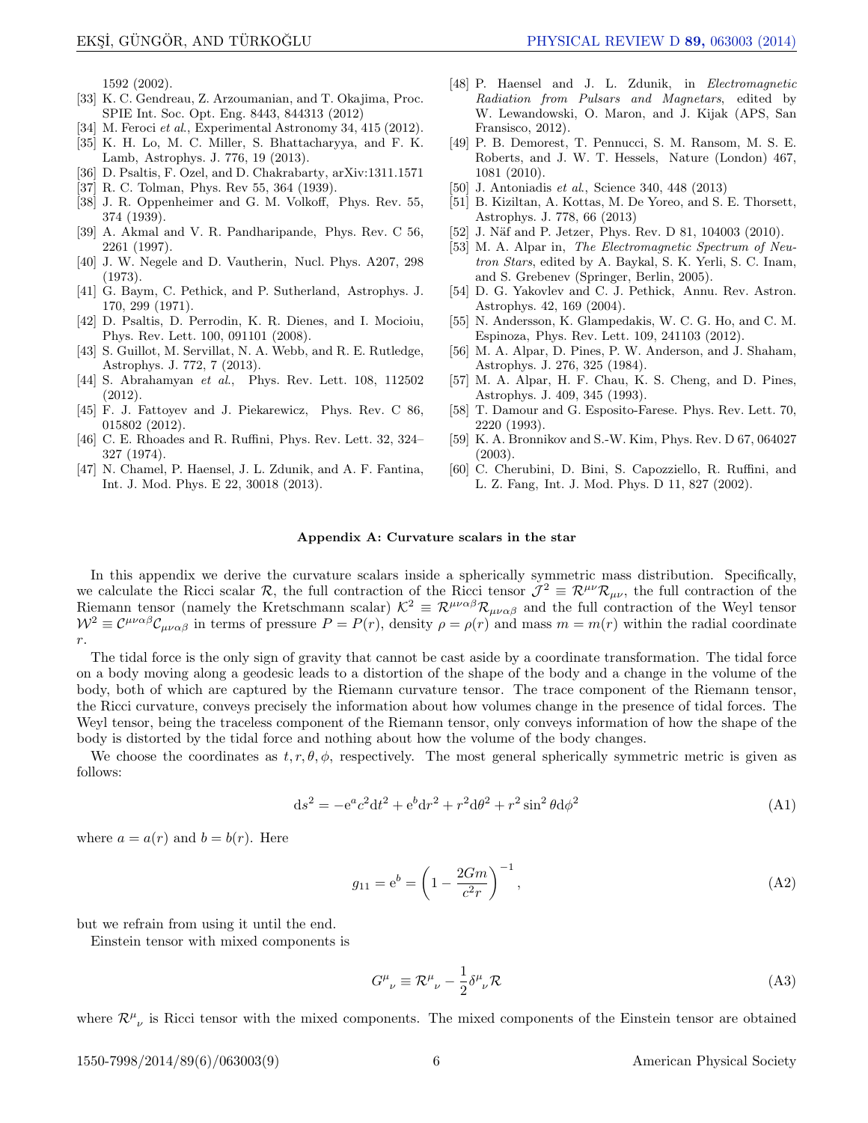1592 (2002).

- <span id="page-5-0"></span>[33] K. C. Gendreau, Z. Arzoumanian, and T. Okajima, Proc. SPIE Int. Soc. Opt. Eng. 8443, 844313 (2012)
- <span id="page-5-1"></span>[34] M. Feroci *et al.*, Experimental Astronomy 34, 415 (2012).
- <span id="page-5-2"></span>[35] K. H. Lo, M. C. Miller, S. Bhattacharyya, and F. K. Lamb, Astrophys. J. 776, 19 (2013).
- <span id="page-5-3"></span>[36] D. Psaltis, F. Ozel, and D. Chakrabarty, arXiv:1311.1571
- <span id="page-5-4"></span>[37] R. C. Tolman, Phys. Rev 55, 364 (1939).
- <span id="page-5-5"></span>[38] J. R. Oppenheimer and G. M. Volkoff, Phys. Rev. 55, 374 (1939).
- <span id="page-5-6"></span>[39] A. Akmal and V. R. Pandharipande, Phys. Rev. C 56, 2261 (1997).
- <span id="page-5-8"></span>[40] J. W. Negele and D. Vautherin, Nucl. Phys. A207, 298 (1973).
- <span id="page-5-9"></span>[41] G. Baym, C. Pethick, and P. Sutherland, Astrophys. J. 170, 299 (1971).
- <span id="page-5-10"></span>[42] D. Psaltis, D. Perrodin, K. R. Dienes, and I. Mocioiu, Phys. Rev. Lett. 100, 091101 (2008).
- <span id="page-5-11"></span>[43] S. Guillot, M. Servillat, N. A. Webb, and R. E. Rutledge, Astrophys. J. 772, 7 (2013).
- <span id="page-5-12"></span>[44] S. Abrahamyan et al., Phys. Rev. Lett. 108, 112502 (2012).
- <span id="page-5-13"></span>[45] F. J. Fattoyev and J. Piekarewicz, Phys. Rev. C 86, 015802 (2012).
- <span id="page-5-14"></span>[46] C. E. Rhoades and R. Ruffini, Phys. Rev. Lett. 32, 324– 327 (1974).
- <span id="page-5-15"></span>[47] N. Chamel, P. Haensel, J. L. Zdunik, and A. F. Fantina, Int. J. Mod. Phys. E 22, 30018 (2013).
- <span id="page-5-16"></span>[48] P. Haensel and J. L. Zdunik, in Electromagnetic Radiation from Pulsars and Magnetars, edited by W. Lewandowski, O. Maron, and J. Kijak (APS, San Fransisco, 2012).
- <span id="page-5-17"></span>[49] P. B. Demorest, T. Pennucci, S. M. Ransom, M. S. E. Roberts, and J. W. T. Hessels, Nature (London) 467, 1081 (2010).
- <span id="page-5-18"></span>[50] J. Antoniadis et al., Science 340, 448 (2013)
- <span id="page-5-19"></span>[51] B. Kiziltan, A. Kottas, M. De Yoreo, and S. E. Thorsett, Astrophys. J. 778, 66 (2013)
- <span id="page-5-20"></span>[52] J. Näf and P. Jetzer, Phys. Rev. D 81, 104003 (2010).
- <span id="page-5-21"></span>[53] M. A. Alpar in, The Electromagnetic Spectrum of Neutron Stars, edited by A. Baykal, S. K. Yerli, S. C. Inam, and S. Grebenev (Springer, Berlin, 2005).
- <span id="page-5-22"></span>[54] D. G. Yakovlev and C. J. Pethick, Annu. Rev. Astron. Astrophys. 42, 169 (2004).
- <span id="page-5-23"></span>[55] N. Andersson, K. Glampedakis, W. C. G. Ho, and C. M. Espinoza, Phys. Rev. Lett. 109, 241103 (2012).
- <span id="page-5-24"></span>[56] M. A. Alpar, D. Pines, P. W. Anderson, and J. Shaham, Astrophys. J. 276, 325 (1984).
- <span id="page-5-25"></span>[57] M. A. Alpar, H. F. Chau, K. S. Cheng, and D. Pines, Astrophys. J. 409, 345 (1993).
- <span id="page-5-26"></span>[58] T. Damour and G. Esposito-Farese. Phys. Rev. Lett. 70, 2220 (1993).
- <span id="page-5-28"></span>[59] K. A. Bronnikov and S.-W. Kim, Phys. Rev. D 67, 064027 (2003).
- <span id="page-5-30"></span>[60] C. Cherubini, D. Bini, S. Capozziello, R. Ruffini, and L. Z. Fang, Int. J. Mod. Phys. D 11, 827 (2002).

## <span id="page-5-7"></span>Appendix A: Curvature scalars in the star

In this appendix we derive the curvature scalars inside a spherically symmetric mass distribution. Specifically, we calculate the Ricci scalar R, the full contraction of the Ricci tensor  $\mathcal{J}^2 = \mathcal{R}^{\mu\nu} \mathcal{R}_{\mu\nu}$ , the full contraction of the Riemann tensor (namely the Kretschmann scalar)  $K^2 = \mathcal{R}^{\mu\nu\alpha\beta} \mathcal{R}_{\mu\nu\alpha\beta}$  and the full contraction of the Weyl tensor  $W^2 \equiv C^{\mu\nu\alpha\beta}C_{\mu\nu\alpha\beta}$  in terms of pressure  $P = P(r)$ , density  $\rho = \rho(r)$  and mass  $m = m(r)$  within the radial coordinate  $r$ .

The tidal force is the only sign of gravity that cannot be cast aside by a coordinate transformation. The tidal force on a body moving along a geodesic leads to a distortion of the shape of the body and a change in the volume of the body, both of which are captured by the Riemann curvature tensor. The trace component of the Riemann tensor, the Ricci curvature, conveys precisely the information about how volumes change in the presence of tidal forces. The Weyl tensor, being the traceless component of the Riemann tensor, only conveys information of how the shape of the body is distorted by the tidal force and nothing about how the volume of the body changes.

We choose the coordinates as  $t, r, \theta, \phi$ , respectively. The most general spherically symmetric metric is given as follows:

<span id="page-5-27"></span>
$$
ds^{2} = -e^{a}c^{2}dt^{2} + e^{b}dr^{2} + r^{2}d\theta^{2} + r^{2}\sin^{2}\theta d\phi^{2}
$$
 (A1)

where  $a = a(r)$  and  $b = b(r)$ . Here

<span id="page-5-29"></span>
$$
g_{11} = e^b = \left(1 - \frac{2Gm}{c^2r}\right)^{-1},\tag{A2}
$$

but we refrain from using it until the end.

Einstein tensor with mixed components is

$$
G^{\mu}{}_{\nu} \equiv \mathcal{R}^{\mu}{}_{\nu} - \frac{1}{2} \delta^{\mu}{}_{\nu} \mathcal{R}
$$
\n(A3)

where  $\mathcal{R}^{\mu}{}_{\nu}$  is Ricci tensor with the mixed components. The mixed components of the Einstein tensor are obtained

$$
1550-7998/2014/89(6)/063003(9)
$$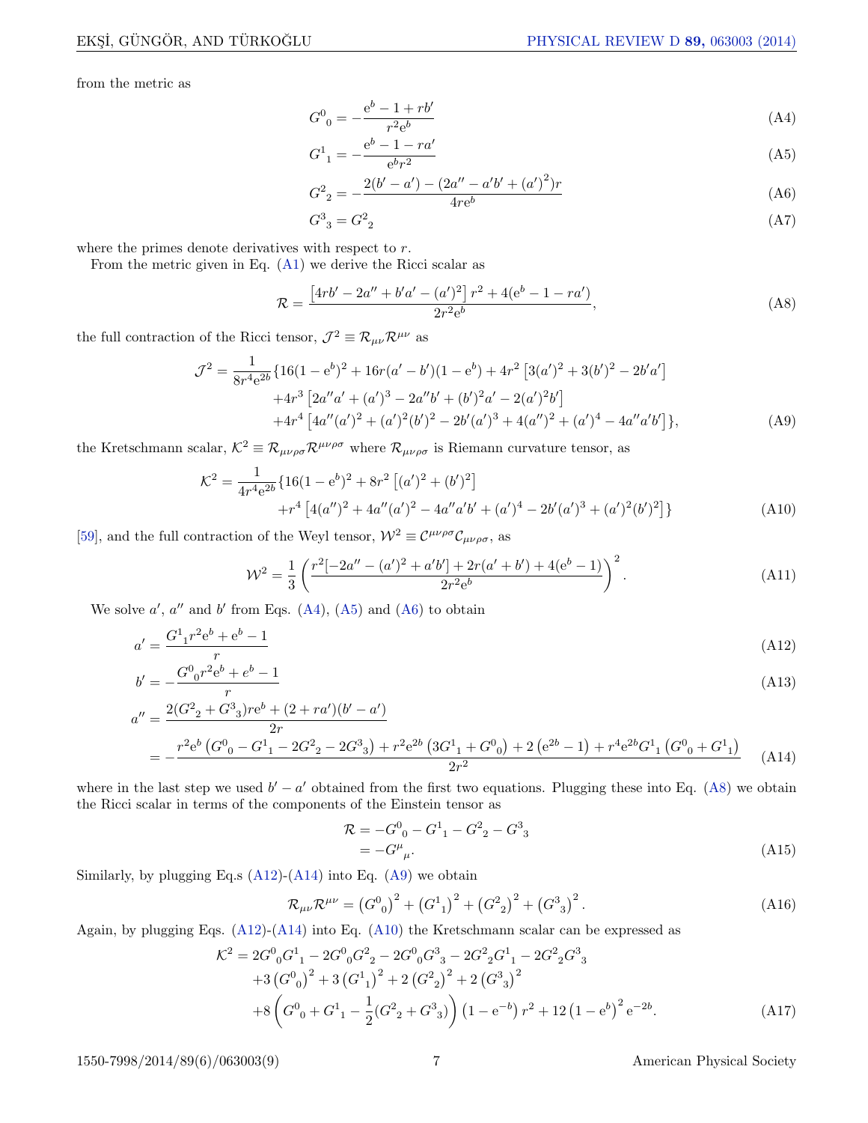from the metric as

<span id="page-6-0"></span>
$$
G^{0}_{0} = -\frac{e^{b} - 1 + rb'}{r^{2}e^{b}}
$$
 (A4)

<span id="page-6-2"></span><span id="page-6-1"></span>
$$
G^{1}_{1} = -\frac{e^{b} - 1 - ra'}{e^{b}r^{2}} \tag{A5}
$$

$$
G^{2}_{2} = -\frac{2(b'-a') - (2a'' - a'b' + (a')^{2})r}{4re^{b}}
$$
\n(A6)

$$
G_3^3 = G_2^2 \tag{A7}
$$

where the primes denote derivatives with respect to  $r$ .

From the metric given in Eq. [\(A1\)](#page-5-27) we derive the Ricci scalar as

<span id="page-6-3"></span>
$$
\mathcal{R} = \frac{\left[4rb' - 2a'' + b'a' - (a')^2\right]r^2 + 4(e^b - 1 - ra')}{2r^2 e^b},\tag{A8}
$$

the full contraction of the Ricci tensor,  $\mathcal{J}^2 \equiv \mathcal{R}_{\mu\nu} \mathcal{R}^{\mu\nu}$  as

<span id="page-6-5"></span>
$$
\mathcal{J}^{2} = \frac{1}{8r^{4}e^{2b}} \{ 16(1 - e^{b})^{2} + 16r(a' - b')(1 - e^{b}) + 4r^{2} [3(a')^{2} + 3(b')^{2} - 2b'a'] + 4r^{3} [2a''a' + (a')^{3} - 2a''b' + (b')^{2}a' - 2(a')^{2}b'] + 4r^{4} [4a''(a')^{2} + (a')^{2}(b')^{2} - 2b'(a')^{3} + 4(a'')^{2} + (a')^{4} - 4a''a'b'] \},
$$
\n(A9)

the Kretschmann scalar,  $K^2 \equiv \mathcal{R}_{\mu\nu\rho\sigma} \mathcal{R}^{\mu\nu\rho\sigma}$  where  $\mathcal{R}_{\mu\nu\rho\sigma}$  is Riemann curvature tensor, as

<span id="page-6-6"></span>
$$
\mathcal{K}^2 = \frac{1}{4r^4e^{2b}} \{ 16(1 - e^b)^2 + 8r^2 \left[ (a')^2 + (b')^2 \right] + r^4 \left[ 4(a'')^2 + 4a''(a')^2 - 4a''a'b' + (a')^4 - 2b'(a')^3 + (a')^2(b')^2 \right] \}
$$
(A10)

[\[59\]](#page-5-28), and the full contraction of the Weyl tensor,  $\mathcal{W}^2 \equiv \mathcal{C}^{\mu\nu\rho\sigma} \mathcal{C}_{\mu\nu\rho\sigma}$ , as

<span id="page-6-7"></span>
$$
\mathcal{W}^2 = \frac{1}{3} \left( \frac{r^2 [-2a'' - (a')^2 + a'b'] + 2r(a' + b') + 4(e^b - 1)}{2r^2 e^b} \right)^2.
$$
 (A11)

We solve  $a'$ ,  $a''$  and  $b'$  from Eqs. [\(A4\)](#page-6-0), [\(A5\)](#page-6-1) and [\(A6\)](#page-6-2) to obtain

$$
a' = \frac{G^1{}_1 r^2 e^b + e^b - 1}{r} \tag{A12}
$$

<span id="page-6-4"></span>
$$
b' = -\frac{G^0{}_0 r^2 e^b + e^b - 1}{r} \tag{A13}
$$

$$
a'' = \frac{2(G^2 + G^3)(re^b + (2 + ra')(b' - a')}{2r}
$$
  
= 
$$
-\frac{r^2e^b(G^0 - G^1 - 2G^2 - 2G^3) + r^2e^{2b}(3G^1 + G^0) + 2(e^{2b} - 1) + r^4e^{2b}G^1(G^0 - G^1))}{2r^2}
$$
(A14)

where in the last step we used  $b' - a'$  obtained from the first two equations. Plugging these into Eq. [\(A8\)](#page-6-3) we obtain the Ricci scalar in terms of the components of the Einstein tensor as

<span id="page-6-8"></span>
$$
\mathcal{R} = -G^0{}_0 - G^1{}_1 - G^2{}_2 - G^3{}_3
$$
  
=  $-G^{\mu}{}_{\mu}$ . (A15)

Similarly, by plugging Eq.s  $(A12)-(A14)$  $(A12)-(A14)$  $(A12)-(A14)$  into Eq.  $(A9)$  we obtain

<span id="page-6-9"></span>
$$
\mathcal{R}_{\mu\nu}\mathcal{R}^{\mu\nu} = (G^0{}_0)^2 + (G^1{}_1)^2 + (G^2{}_2)^2 + (G^3{}_3)^2.
$$
 (A16)

Again, by plugging Eqs. [\(A12\)](#page-6-4)-[\(A14\)](#page-6-4) into Eq. [\(A10\)](#page-6-6) the Kretschmann scalar can be expressed as

<span id="page-6-10"></span>
$$
\mathcal{K}^{2} = 2G^{0}{}_{0}G^{1}{}_{1} - 2G^{0}{}_{0}G^{2}{}_{2} - 2G^{0}{}_{0}G^{3}{}_{3} - 2G^{2}{}_{2}G^{1}{}_{1} - 2G^{2}{}_{2}G^{3}{}_{3} \n+ 3\left(G^{0}{}_{0}\right)^{2} + 3\left(G^{1}{}_{1}\right)^{2} + 2\left(G^{2}{}_{2}\right)^{2} + 2\left(G^{3}{}_{3}\right)^{2} \n+ 8\left(G^{0}{}_{0} + G^{1}{}_{1} - \frac{1}{2}\left(G^{2}{}_{2} + G^{3}{}_{3}\right)\right)\left(1 - e^{-b}\right)r^{2} + 12\left(1 - e^{b}\right)^{2}e^{-2b}.
$$
\n(A17)

1550-7998/2014/89(6)/063003(9) 7 American Physical Society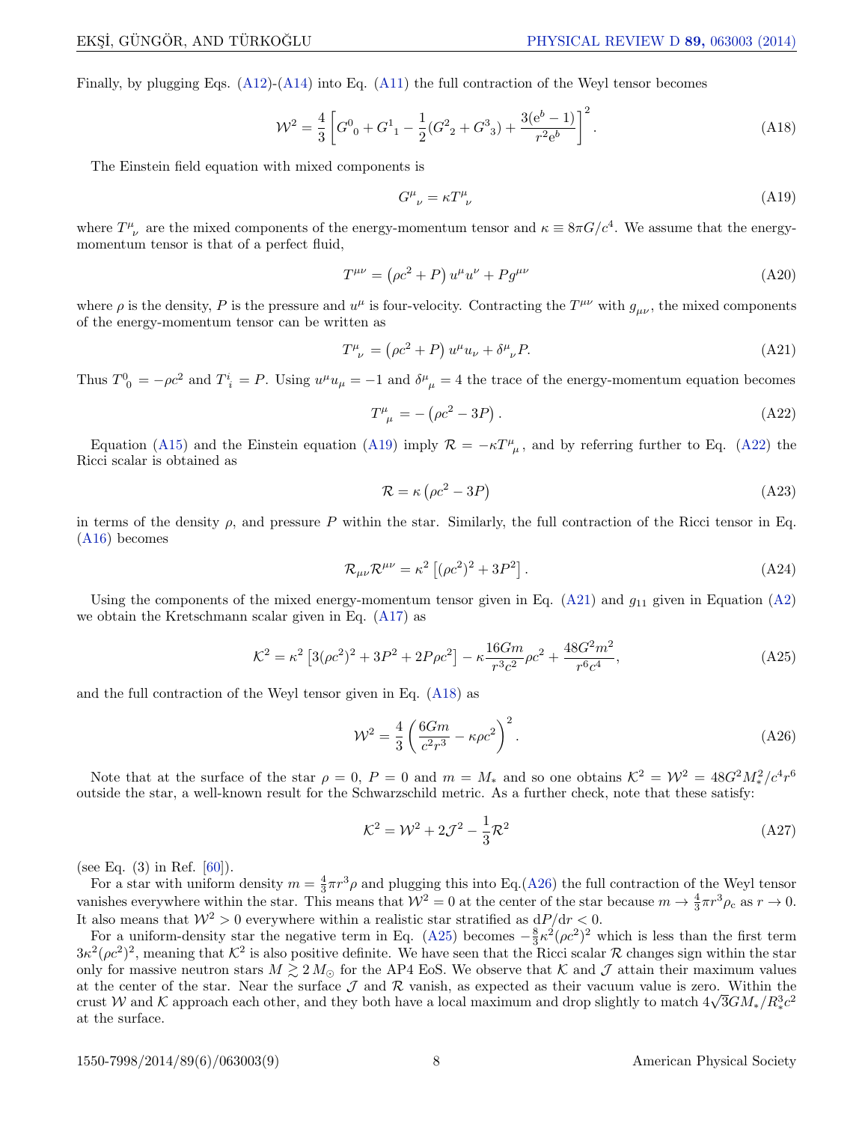Finally, by plugging Eqs.  $(A12)-(A14)$  $(A12)-(A14)$  $(A12)-(A14)$  into Eq.  $(A11)$  the full contraction of the Weyl tensor becomes

<span id="page-7-3"></span>
$$
\mathcal{W}^2 = \frac{4}{3} \left[ G^0{}_0 + G^1{}_1 - \frac{1}{2} (G^2{}_2 + G^3{}_3) + \frac{3(e^b - 1)}{r^2 e^b} \right]^2.
$$
 (A18)

The Einstein field equation with mixed components is

<span id="page-7-0"></span>
$$
G^{\mu}{}_{\nu} = \kappa T^{\mu}{}_{\nu} \tag{A19}
$$

where  $T^{\mu}_{\;\nu}$  are the mixed components of the energy-momentum tensor and  $\kappa \equiv 8\pi G/c^4$ . We assume that the energymomentum tensor is that of a perfect fluid,

$$
T^{\mu\nu} = \left(\rho c^2 + P\right) u^{\mu} u^{\nu} + P g^{\mu\nu} \tag{A20}
$$

where  $\rho$  is the density, P is the pressure and  $u^{\mu}$  is four-velocity. Contracting the  $T^{\mu\nu}$  with  $g_{\mu\nu}$ , the mixed components of the energy-momentum tensor can be written as

<span id="page-7-2"></span>
$$
T^{\mu}_{\ \nu} = (\rho c^2 + P) u^{\mu} u_{\nu} + \delta^{\mu}_{\ \nu} P. \tag{A21}
$$

Thus  $T^0_{\phantom{0}0} = -\rho c^2$  and  $T^i_{\phantom{i}i} = P$ . Using  $u^{\mu}u_{\mu} = -1$  and  $\delta^{\mu}_{\phantom{\mu}\mu} = 4$  the trace of the energy-momentum equation becomes

<span id="page-7-1"></span>
$$
T^{\mu}_{\ \mu} = -(\rho c^2 - 3P). \tag{A22}
$$

Equation [\(A15\)](#page-6-8) and the Einstein equation [\(A19\)](#page-7-0) imply  $\mathcal{R} = -\kappa T^{\mu}_{\mu}$ , and by referring further to Eq. [\(A22\)](#page-7-1) the Ricci scalar is obtained as

$$
\mathcal{R} = \kappa \left( \rho c^2 - 3P \right) \tag{A23}
$$

in terms of the density  $\rho$ , and pressure P within the star. Similarly, the full contraction of the Ricci tensor in Eq. [\(A16\)](#page-6-9) becomes

$$
\mathcal{R}_{\mu\nu}\mathcal{R}^{\mu\nu} = \kappa^2 \left[ (\rho c^2)^2 + 3P^2 \right]. \tag{A24}
$$

Using the components of the mixed energy-momentum tensor given in Eq.  $(A21)$  and  $g_{11}$  given in Equation  $(A2)$ we obtain the Kretschmann scalar given in Eq. [\(A17\)](#page-6-10) as

<span id="page-7-5"></span>
$$
\mathcal{K}^2 = \kappa^2 \left[ 3(\rho c^2)^2 + 3P^2 + 2P\rho c^2 \right] - \kappa \frac{16Gm}{r^3 c^2} \rho c^2 + \frac{48G^2 m^2}{r^6 c^4},\tag{A25}
$$

and the full contraction of the Weyl tensor given in Eq. [\(A18\)](#page-7-3) as

<span id="page-7-4"></span>
$$
\mathcal{W}^2 = \frac{4}{3} \left( \frac{6Gm}{c^2 r^3} - \kappa \rho c^2 \right)^2.
$$
 (A26)

Note that at the surface of the star  $\rho = 0$ ,  $P = 0$  and  $m = M_*$  and so one obtains  $K^2 = W^2 = 48G^2M_*^2/c^4r^6$ outside the star, a well-known result for the Schwarzschild metric. As a further check, note that these satisfy:

$$
\mathcal{K}^2 = \mathcal{W}^2 + 2\mathcal{J}^2 - \frac{1}{3}\mathcal{R}^2
$$
\n
$$
(A27)
$$

(see Eq.  $(3)$  in Ref.  $[60]$ ).

For a star with uniform density  $m = \frac{4}{3}\pi r^3 \rho$  and plugging this into Eq.[\(A26\)](#page-7-4) the full contraction of the Weyl tensor vanishes everywhere within the star. This means that  $W^2 = 0$  at the center of the star because  $m \to \frac{4}{3}\pi r^3 \rho_c$  as  $r \to 0$ . It also means that  $W^2 > 0$  everywhere within a realistic star stratified as  $dP/dr < 0$ .

For a uniform-density star the negative term in Eq. [\(A25\)](#page-7-5) becomes  $-\frac{8}{3}\kappa^2(\rho c^2)^2$  which is less than the first term  $3\kappa^2(\rho c^2)^2$ , meaning that  $\mathcal{K}^2$  is also positive definite. We have seen that the Ricci scalar R changes sign within the star only for massive neutron stars  $M \gtrsim 2 M_{\odot}$  for the AP4 EoS. We observe that K and J attain their maximum values at the center of the star. Near the surface  $\mathcal J$  and  $\mathcal R$  vanish, as expected as their vacuum value is zero. Within the at the center of the star. Near the surface *J* and *K* vanish, as expected as their vacuum value is zero. Within the crust *W* and *K* approach each other, and they both have a local maximum and drop slightly to match  $4$ at the surface.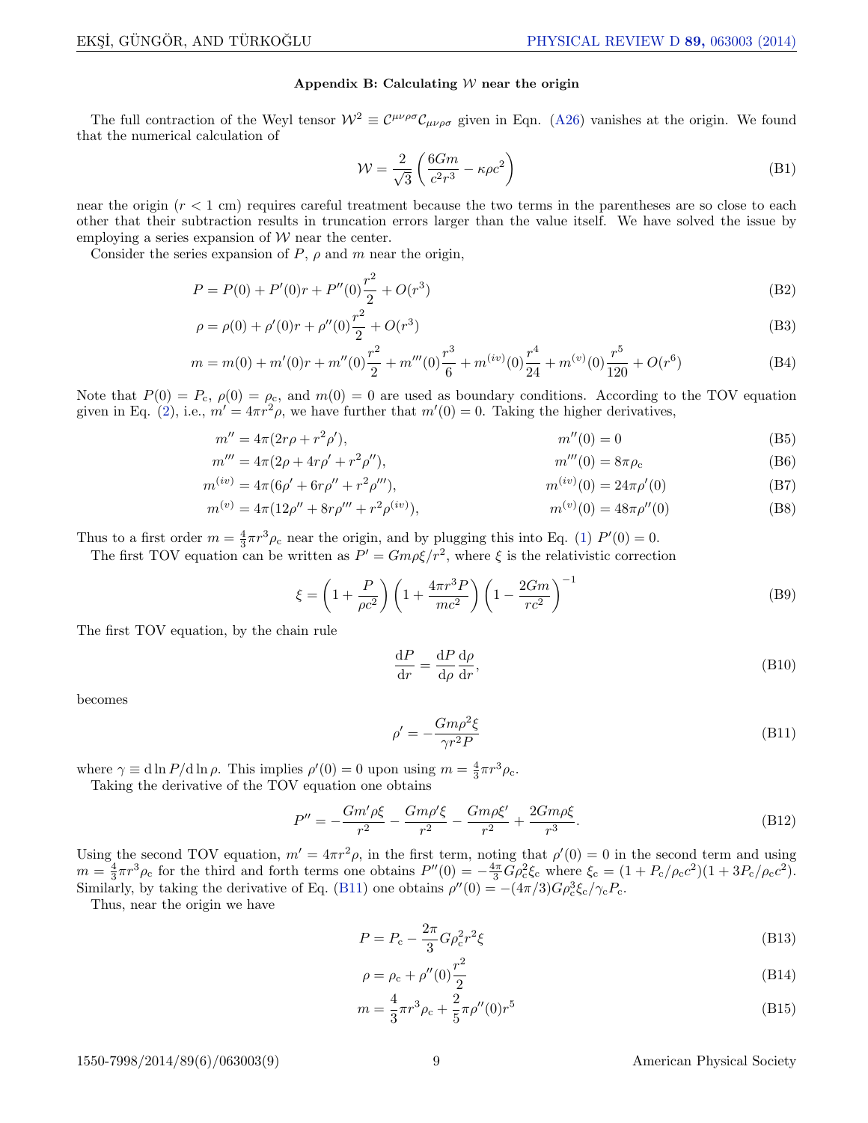## <span id="page-8-0"></span>Appendix B: Calculating  $W$  near the origin

The full contraction of the Weyl tensor  $W^2 \equiv C^{\mu\nu\rho\sigma}C_{\mu\nu\rho\sigma}$  given in Eqn. [\(A26\)](#page-7-4) vanishes at the origin. We found that the numerical calculation of

$$
\mathcal{W} = \frac{2}{\sqrt{3}} \left( \frac{6Gm}{c^2 r^3} - \kappa \rho c^2 \right) \tag{B1}
$$

near the origin  $(r < 1 \text{ cm})$  requires careful treatment because the two terms in the parentheses are so close to each other that their subtraction results in truncation errors larger than the value itself. We have solved the issue by employing a series expansion of  $W$  near the center.

Consider the series expansion of  $P$ ,  $\rho$  and  $m$  near the origin,

$$
P = P(0) + P'(0)r + P''(0)\frac{r^2}{2} + O(r^3)
$$
\n(B2)

$$
\rho = \rho(0) + \rho'(0)r + \rho''(0)\frac{r^2}{2} + O(r^3)
$$
\n(B3)

$$
m = m(0) + m'(0)r + m''(0)\frac{r^2}{2} + m'''(0)\frac{r^3}{6} + m^{(iv)}(0)\frac{r^4}{24} + m^{(v)}(0)\frac{r^5}{120} + O(r^6)
$$
 (B4)

Note that  $P(0) = P_c$ ,  $\rho(0) = \rho_c$ , and  $m(0) = 0$  are used as boundary conditions. According to the TOV equation given in Eq. [\(2\)](#page-1-5), i.e.,  $m' = 4\pi r^2 \rho$ , we have further that  $m'(0) = 0$ . Taking the higher derivatives,

$$
m'' = 4\pi (2r\rho + r^2\rho'), \tag{B5}
$$

$$
m''' = 4\pi (2\rho + 4r\rho' + r^2\rho''), \qquad m'''(0) = 8\pi \rho_c \tag{B6}
$$

$$
m^{(iv)} = 4\pi (6\rho' + 6r\rho'' + r^2\rho'''), \qquad m^{(iv)}(0) = 24\pi \rho'(0) \tag{B7}
$$

$$
m^{(v)} = 4\pi (12\rho'' + 8r\rho''' + r^2\rho^{(iv)}), \qquad m^{(v)}(0) = 48\pi\rho''(0) \tag{B8}
$$

Thus to a first order  $m = \frac{4}{3}\pi r^3 \rho_c$  near the origin, and by plugging this into Eq. [\(1\)](#page-1-6)  $P'(0) = 0$ .

The first TOV equation can be written as  $P' = Gm\rho\xi/r^2$ , where  $\xi$  is the relativistic correction

$$
\xi = \left(1 + \frac{P}{\rho c^2}\right) \left(1 + \frac{4\pi r^3 P}{mc^2}\right) \left(1 - \frac{2Gm}{rc^2}\right)^{-1}
$$
(B9)

The first TOV equation, by the chain rule

$$
\frac{\mathrm{d}P}{\mathrm{d}r} = \frac{\mathrm{d}P}{\mathrm{d}\rho} \frac{\mathrm{d}\rho}{\mathrm{d}r},\tag{B10}
$$

becomes

<span id="page-8-1"></span>
$$
\rho' = -\frac{Gm\rho^2\xi}{\gamma r^2 P} \tag{B11}
$$

where  $\gamma \equiv \mathrm{d} \ln P / \mathrm{d} \ln \rho$ . This implies  $\rho'(0) = 0$  upon using  $m = \frac{4}{3} \pi r^3 \rho_c$ .

Taking the derivative of the TOV equation one obtains

$$
P'' = -\frac{Gm'\rho\xi}{r^2} - \frac{Gm\rho'\xi}{r^2} - \frac{Gm\rho\xi'}{r^2} + \frac{2Gm\rho\xi}{r^3}.
$$
 (B12)

Using the second TOV equation,  $m' = 4\pi r^2 \rho$ , in the first term, noting that  $\rho'(0) = 0$  in the second term and using  $m = \frac{4}{3}\pi r^3 \rho_c$  for the third and forth terms one obtains  $P''(0) = -\frac{4\pi}{3}\tilde{G}\rho_c^2 \xi_c$  where  $\xi_c = (1 + P_c/\rho_c c^2)(1 + 3P_c/\rho_c c^2)$ . Similarly, by taking the derivative of Eq. [\(B11\)](#page-8-1) one obtains  $\rho''(0) = -(4\pi/3)G\rho_c^3 \xi_c/\gamma_c P_c$ .

Thus, near the origin we have

$$
P = P_{\rm c} - \frac{2\pi}{3} G \rho_{\rm c}^2 r^2 \xi \tag{B13}
$$

$$
\rho = \rho_c + \rho''(0)\frac{r^2}{2}
$$
\n(B14)

$$
m = \frac{4}{3}\pi r^3 \rho_c + \frac{2}{5}\pi \rho''(0)r^5
$$
\n(B15)